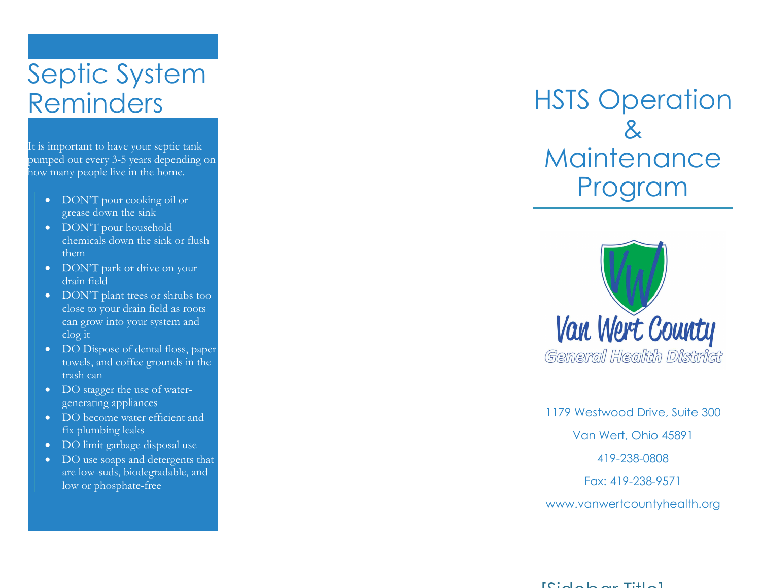# Septic System Reminders

It is important to have your septic tank pumped out every 3-5 years depending on how many people live in the home.

- DON'T pour cooking oil or grease down the sink
- DON'T pour household chemicals down the sink or flush them
- DON'T park or drive on your drain field
- DON'T plant trees or shrubs too close to your drain field as roots can grow into your system and clog it
- DO Dispose of dental floss, paper towels, and coffee grounds in the trash can
- DO stagger the use of watergenerating appliances
- DO become water efficient and fix plumbing leaks
- DO limit garbage disposal use
- DO use soaps and detergents that are low-suds, biodegradable, and low or phosphate-free

## HSTS Operation & **Maintenance** Program



1179 Westwood Drive, Suite 300 Van Wert, Ohio 45891 419-238-0808 Fax: 419-238-9571 www.vanwertcountyhealth.org

 $\Gamma$  For the Left and Title  $\Gamma$